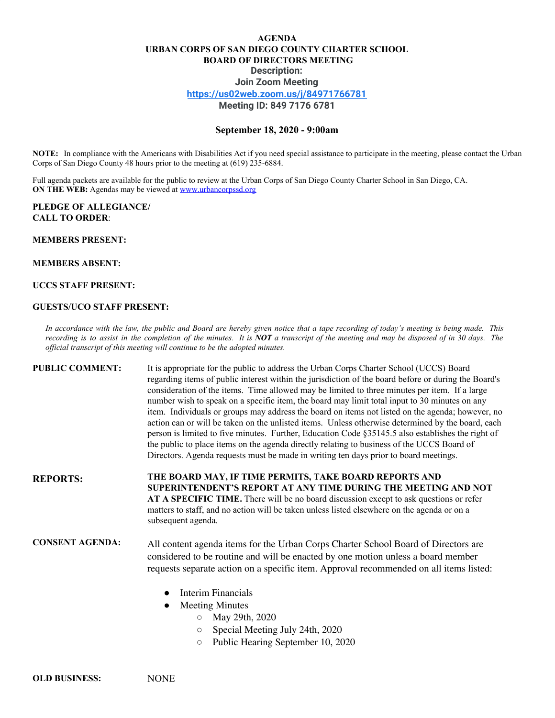## **AGENDA URBAN CORPS OF SAN DIEGO COUNTY CHARTER SCHOOL BOARD OF DIRECTORS MEETING Description: Join Zoom Meeting <https://us02web.zoom.us/j/84971766781> Meeting ID: 849 7176 6781**

## **September 18, 2020 - 9:00am**

**NOTE:** In compliance with the Americans with Disabilities Act if you need special assistance to participate in the meeting, please contact the Urban Corps of San Diego County 48 hours prior to the meeting at (619) 235-6884.

Full agenda packets are available for the public to review at the Urban Corps of San Diego County Charter School in San Diego, CA. **ON THE WEB:** Agendas may be viewed at **[www.urbancorpssd.org](http://www.urbancorpssd.org/)** 

## **PLEDGE OF ALLEGIANCE/ CALL TO ORDER**:

# **MEMBERS PRESENT:**

## **MEMBERS ABSENT:**

### **UCCS STAFF PRESENT:**

### **GUESTS/UCO STAFF PRESENT:**

In accordance with the law, the public and Board are hereby given notice that a tape recording of today's meeting is being made. This recording is to assist in the completion of the minutes. It is NOT a transcript of the meeting and may be disposed of in 30 days. The *official transcript of this meeting will continue to be the adopted minutes.*

**PUBLIC COMMENT:** It is appropriate for the public to address the Urban Corps Charter School (UCCS) Board regarding items of public interest within the jurisdiction of the board before or during the Board's consideration of the items. Time allowed may be limited to three minutes per item. If a large number wish to speak on a specific item, the board may limit total input to 30 minutes on any item. Individuals or groups may address the board on items not listed on the agenda; however, no action can or will be taken on the unlisted items. Unless otherwise determined by the board, each person is limited to five minutes. Further, Education Code §35145.5 also establishes the right of the public to place items on the agenda directly relating to business of the UCCS Board of Directors. Agenda requests must be made in writing ten days prior to board meetings.

**REPORTS: THE BOARD MAY, IF TIME PERMITS, TAKE BOARD REPORTS AND SUPERINTENDENT'S REPORT AT ANY TIME DURING THE MEETING AND NOT AT A SPECIFIC TIME.** There will be no board discussion except to ask questions or refer matters to staff, and no action will be taken unless listed elsewhere on the agenda or on a subsequent agenda.

**CONSENT AGENDA:** All content agenda items for the Urban Corps Charter School Board of Directors are considered to be routine and will be enacted by one motion unless a board member requests separate action on a specific item. Approval recommended on all items listed:

- **Interim Financials**
- **Meeting Minutes** 
	- May 29th, 2020
	- Special Meeting July 24th, 2020
	- Public Hearing September 10, 2020